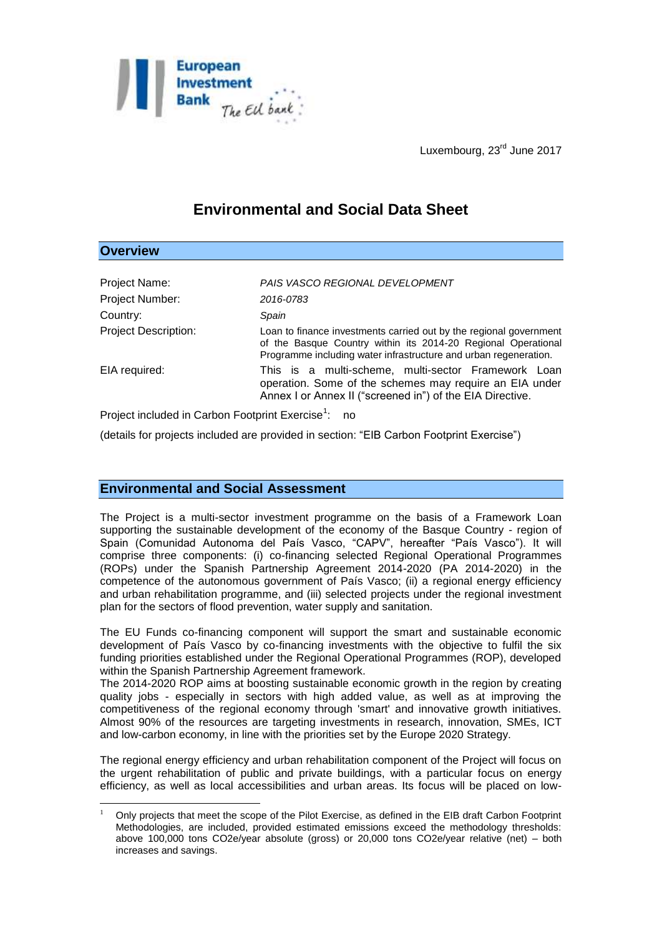

Luxembourg, 23<sup>rd</sup> June 2017

# **Environmental and Social Data Sheet**

## **Overview**

<u>.</u>

| PAIS VASCO REGIONAL DEVELOPMENT                                                                                                                                                                         |
|---------------------------------------------------------------------------------------------------------------------------------------------------------------------------------------------------------|
| 2016-0783                                                                                                                                                                                               |
| Spain                                                                                                                                                                                                   |
| Loan to finance investments carried out by the regional government<br>of the Basque Country within its 2014-20 Regional Operational<br>Programme including water infrastructure and urban regeneration. |
| This is a multi-scheme, multi-sector Framework Loan<br>operation. Some of the schemes may require an EIA under<br>Annex I or Annex II ("screened in") of the EIA Directive.                             |
|                                                                                                                                                                                                         |

Project included in Carbon Footprint Exercise<sup>1</sup>: no

(details for projects included are provided in section: "EIB Carbon Footprint Exercise")

## **Environmental and Social Assessment**

The Project is a multi-sector investment programme on the basis of a Framework Loan supporting the sustainable development of the economy of the Basque Country - region of Spain (Comunidad Autonoma del País Vasco, "CAPV", hereafter "País Vasco"). It will comprise three components: (i) co-financing selected Regional Operational Programmes (ROPs) under the Spanish Partnership Agreement 2014-2020 (PA 2014-2020) in the competence of the autonomous government of País Vasco; (ii) a regional energy efficiency and urban rehabilitation programme, and (iii) selected projects under the regional investment plan for the sectors of flood prevention, water supply and sanitation.

The EU Funds co-financing component will support the smart and sustainable economic development of País Vasco by co-financing investments with the objective to fulfil the six funding priorities established under the Regional Operational Programmes (ROP), developed within the Spanish Partnership Agreement framework.

The 2014-2020 ROP aims at boosting sustainable economic growth in the region by creating quality jobs - especially in sectors with high added value, as well as at improving the competitiveness of the regional economy through 'smart' and innovative growth initiatives. Almost 90% of the resources are targeting investments in research, innovation, SMEs, ICT and low-carbon economy, in line with the priorities set by the Europe 2020 Strategy.

The regional energy efficiency and urban rehabilitation component of the Project will focus on the urgent rehabilitation of public and private buildings, with a particular focus on energy efficiency, as well as local accessibilities and urban areas. Its focus will be placed on low-

<sup>1</sup> Only projects that meet the scope of the Pilot Exercise, as defined in the EIB draft Carbon Footprint Methodologies, are included, provided estimated emissions exceed the methodology thresholds: above 100,000 tons CO2e/year absolute (gross) or 20,000 tons CO2e/year relative (net) – both increases and savings.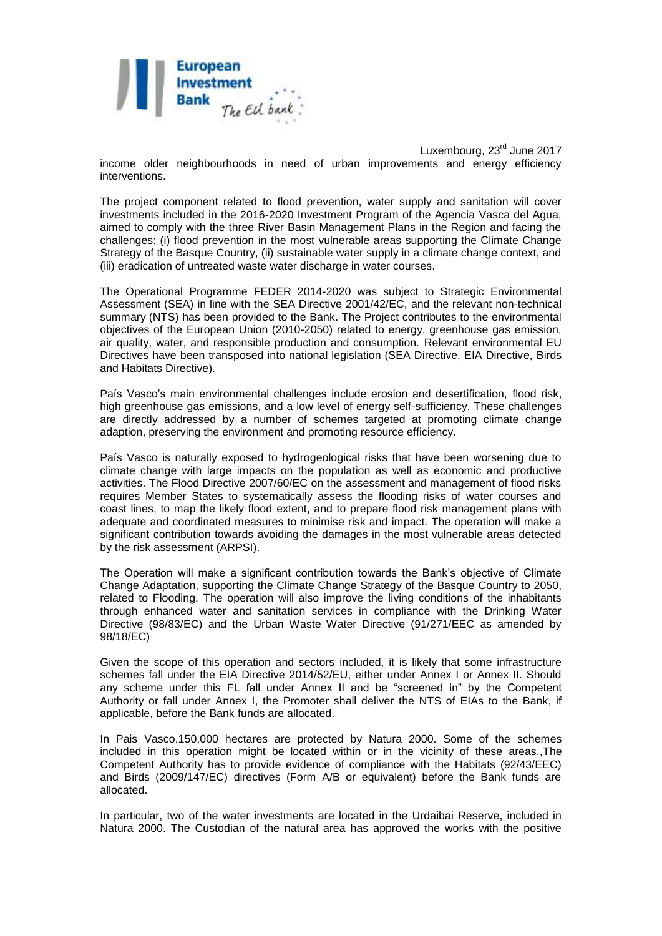

Luxembourg, 23<sup>rd</sup> June 2017 income older neighbourhoods in need of urban improvements and energy efficiency interventions.

The project component related to flood prevention, water supply and sanitation will cover investments included in the 2016-2020 Investment Program of the Agencia Vasca del Agua, aimed to comply with the three River Basin Management Plans in the Region and facing the challenges: (i) flood prevention in the most vulnerable areas supporting the Climate Change Strategy of the Basque Country, (ii) sustainable water supply in a climate change context, and (iii) eradication of untreated waste water discharge in water courses.

The Operational Programme FEDER 2014-2020 was subject to Strategic Environmental Assessment (SEA) in line with the SEA Directive 2001/42/EC, and the relevant non-technical summary (NTS) has been provided to the Bank. The Project contributes to the environmental objectives of the European Union (2010-2050) related to energy, greenhouse gas emission, air quality, water, and responsible production and consumption. Relevant environmental EU Directives have been transposed into national legislation (SEA Directive, EIA Directive, Birds and Habitats Directive).

País Vasco's main environmental challenges include erosion and desertification, flood risk, high greenhouse gas emissions, and a low level of energy self-sufficiency. These challenges are directly addressed by a number of schemes targeted at promoting climate change adaption, preserving the environment and promoting resource efficiency.

País Vasco is naturally exposed to hydrogeological risks that have been worsening due to climate change with large impacts on the population as well as economic and productive activities. The Flood Directive 2007/60/EC on the assessment and management of flood risks requires Member States to systematically assess the flooding risks of water courses and coast lines, to map the likely flood extent, and to prepare flood risk management plans with adequate and coordinated measures to minimise risk and impact. The operation will make a significant contribution towards avoiding the damages in the most vulnerable areas detected by the risk assessment (ARPSI).

The Operation will make a significant contribution towards the Bank's objective of Climate Change Adaptation, supporting the Climate Change Strategy of the Basque Country to 2050, related to Flooding. The operation will also improve the living conditions of the inhabitants through enhanced water and sanitation services in compliance with the Drinking Water Directive (98/83/EC) and the Urban Waste Water Directive (91/271/EEC as amended by 98/18/EC)

Given the scope of this operation and sectors included, it is likely that some infrastructure schemes fall under the EIA Directive 2014/52/EU, either under Annex I or Annex II. Should any scheme under this FL fall under Annex II and be "screened in" by the Competent Authority or fall under Annex I, the Promoter shall deliver the NTS of EIAs to the Bank, if applicable, before the Bank funds are allocated.

In Pais Vasco,150,000 hectares are protected by Natura 2000. Some of the schemes included in this operation might be located within or in the vicinity of these areas.,The Competent Authority has to provide evidence of compliance with the Habitats (92/43/EEC) and Birds (2009/147/EC) directives (Form A/B or equivalent) before the Bank funds are allocated.

In particular, two of the water investments are located in the Urdaibai Reserve, included in Natura 2000. The Custodian of the natural area has approved the works with the positive